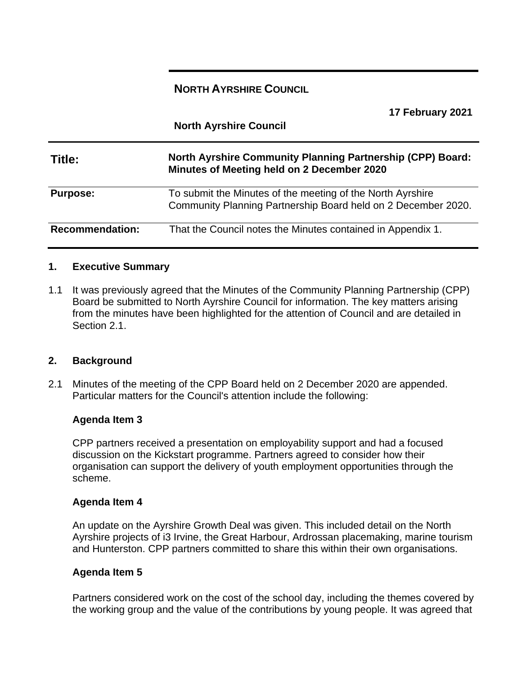# **NORTH AYRSHIRE COUNCIL**

| 17 February 2021<br><b>North Ayrshire Council</b> |                                                                                                                             |  |
|---------------------------------------------------|-----------------------------------------------------------------------------------------------------------------------------|--|
| Title:                                            | <b>North Ayrshire Community Planning Partnership (CPP) Board:</b><br>Minutes of Meeting held on 2 December 2020             |  |
| <b>Purpose:</b>                                   | To submit the Minutes of the meeting of the North Ayrshire<br>Community Planning Partnership Board held on 2 December 2020. |  |
| <b>Recommendation:</b>                            | That the Council notes the Minutes contained in Appendix 1.                                                                 |  |

#### **1. Executive Summary**

1.1 It was previously agreed that the Minutes of the Community Planning Partnership (CPP) Board be submitted to North Ayrshire Council for information. The key matters arising from the minutes have been highlighted for the attention of Council and are detailed in Section 2.1.

#### **2. Background**

2.1 Minutes of the meeting of the CPP Board held on 2 December 2020 are appended. Particular matters for the Council's attention include the following:

#### **Agenda Item 3**

CPP partners received a presentation on employability support and had a focused discussion on the Kickstart programme. Partners agreed to consider how their organisation can support the delivery of youth employment opportunities through the scheme.

#### **Agenda Item 4**

An update on the Ayrshire Growth Deal was given. This included detail on the North Ayrshire projects of i3 Irvine, the Great Harbour, Ardrossan placemaking, marine tourism and Hunterston. CPP partners committed to share this within their own organisations.

#### **Agenda Item 5**

Partners considered work on the cost of the school day, including the themes covered by the working group and the value of the contributions by young people. It was agreed that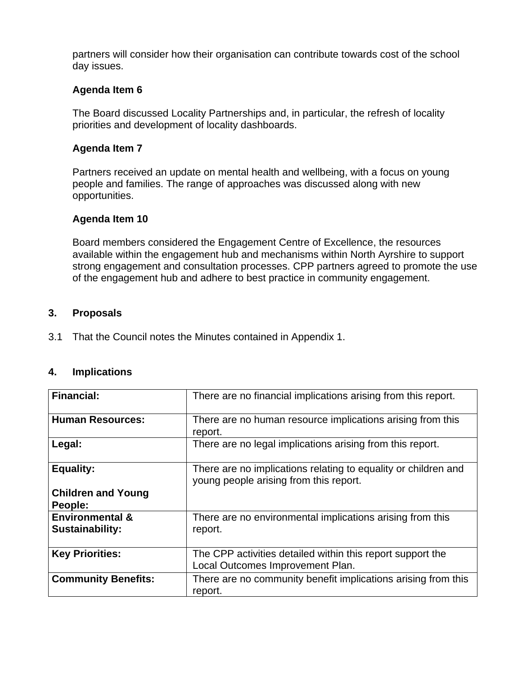partners will consider how their organisation can contribute towards cost of the school day issues.

### **Agenda Item 6**

The Board discussed Locality Partnerships and, in particular, the refresh of locality priorities and development of locality dashboards.

### **Agenda Item 7**

Partners received an update on mental health and wellbeing, with a focus on young people and families. The range of approaches was discussed along with new opportunities.

### **Agenda Item 10**

Board members considered the Engagement Centre of Excellence, the resources available within the engagement hub and mechanisms within North Ayrshire to support strong engagement and consultation processes. CPP partners agreed to promote the use of the engagement hub and adhere to best practice in community engagement.

#### **3. Proposals**

3.1 That the Council notes the Minutes contained in Appendix 1.

#### **4. Implications**

| <b>Financial:</b>                                    | There are no financial implications arising from this report.                                            |
|------------------------------------------------------|----------------------------------------------------------------------------------------------------------|
| <b>Human Resources:</b>                              | There are no human resource implications arising from this<br>report.                                    |
| Legal:                                               | There are no legal implications arising from this report.                                                |
| <b>Equality:</b>                                     | There are no implications relating to equality or children and<br>young people arising from this report. |
| <b>Children and Young</b><br>People:                 |                                                                                                          |
| <b>Environmental &amp;</b><br><b>Sustainability:</b> | There are no environmental implications arising from this<br>report.                                     |
| <b>Key Priorities:</b>                               | The CPP activities detailed within this report support the<br>Local Outcomes Improvement Plan.           |
| <b>Community Benefits:</b>                           | There are no community benefit implications arising from this<br>report.                                 |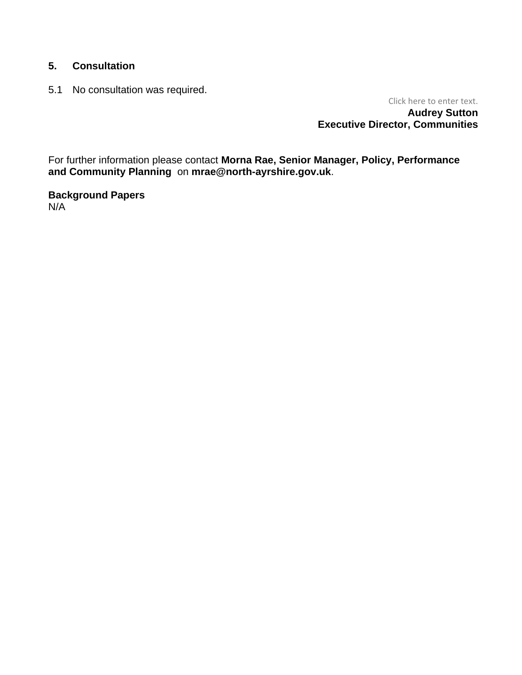# **5. Consultation**

5.1 No consultation was required.

Click here to enter text. **Audrey Sutton Executive Director, Communities**

For further information please contact **Morna Rae, Senior Manager, Policy, Performance and Community Planning** on **mrae@north-ayrshire.gov.uk**.

**Background Papers** N/A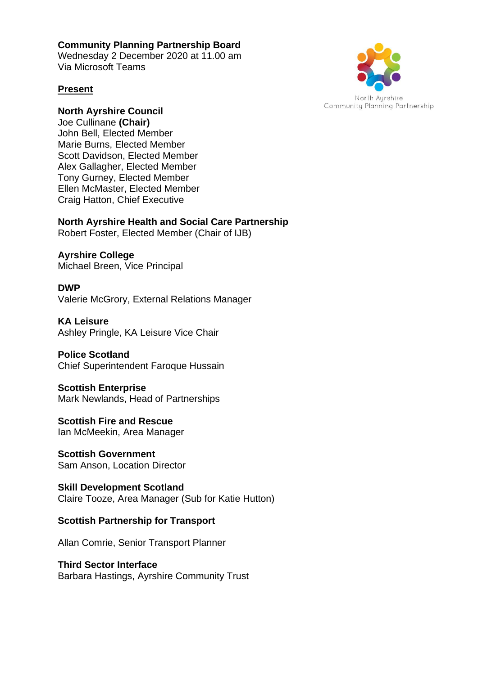# **Community Planning Partnership Board**

Wednesday 2 December 2020 at 11.00 am Via Microsoft Teams

### **Present**



# **North Ayrshire Council**

Joe Cullinane **(Chair)** John Bell, Elected Member Marie Burns, Elected Member Scott Davidson, Elected Member Alex Gallagher, Elected Member Tony Gurney, Elected Member Ellen McMaster, Elected Member Craig Hatton, Chief Executive

# **North Ayrshire Health and Social Care Partnership**

Robert Foster, Elected Member (Chair of IJB)

**Ayrshire College**  Michael Breen, Vice Principal

### **DWP** Valerie McGrory, External Relations Manager

**KA Leisure** Ashley Pringle, KA Leisure Vice Chair

# **Police Scotland**

Chief Superintendent Faroque Hussain

# **Scottish Enterprise**

Mark Newlands, Head of Partnerships

#### **Scottish Fire and Rescue**  Ian McMeekin, Area Manager

**Scottish Government**  Sam Anson, Location Director

### **Skill Development Scotland**  Claire Tooze, Area Manager (Sub for Katie Hutton)

# **Scottish Partnership for Transport**

Allan Comrie, Senior Transport Planner

# **Third Sector Interface**

Barbara Hastings, Ayrshire Community Trust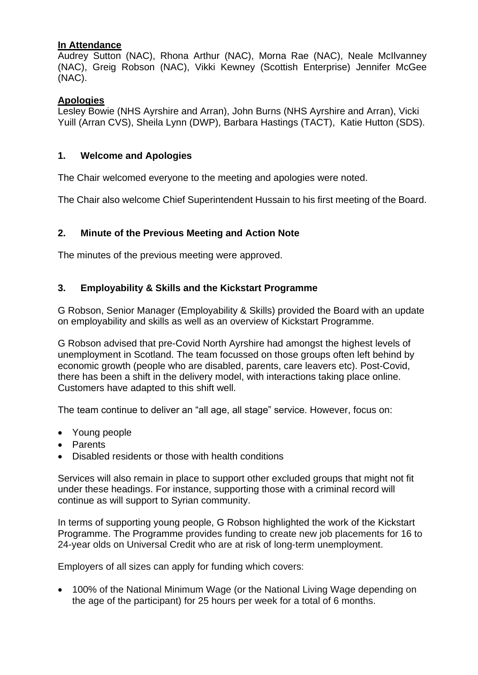### **In Attendance**

Audrey Sutton (NAC), Rhona Arthur (NAC), Morna Rae (NAC), Neale McIlvanney (NAC), Greig Robson (NAC), Vikki Kewney (Scottish Enterprise) Jennifer McGee (NAC).

### **Apologies**

Lesley Bowie (NHS Ayrshire and Arran), John Burns (NHS Ayrshire and Arran), Vicki Yuill (Arran CVS), Sheila Lynn (DWP), Barbara Hastings (TACT), Katie Hutton (SDS).

#### **1. Welcome and Apologies**

The Chair welcomed everyone to the meeting and apologies were noted.

The Chair also welcome Chief Superintendent Hussain to his first meeting of the Board.

### **2. Minute of the Previous Meeting and Action Note**

The minutes of the previous meeting were approved.

#### **3. Employability & Skills and the Kickstart Programme**

G Robson, Senior Manager (Employability & Skills) provided the Board with an update on employability and skills as well as an overview of Kickstart Programme.

G Robson advised that pre-Covid North Ayrshire had amongst the highest levels of unemployment in Scotland. The team focussed on those groups often left behind by economic growth (people who are disabled, parents, care leavers etc). Post-Covid, there has been a shift in the delivery model, with interactions taking place online. Customers have adapted to this shift well.

The team continue to deliver an "all age, all stage" service. However, focus on:

- Young people
- Parents
- Disabled residents or those with health conditions

Services will also remain in place to support other excluded groups that might not fit under these headings. For instance, supporting those with a criminal record will continue as will support to Syrian community.

In terms of supporting young people, G Robson highlighted the work of the Kickstart Programme. The Programme provides funding to create new job placements for 16 to 24-year olds on Universal Credit who are at risk of long-term unemployment.

Employers of all sizes can apply for funding which covers:

• 100% of the National Minimum Wage (or the National Living Wage depending on the age of the participant) for 25 hours per week for a total of 6 months.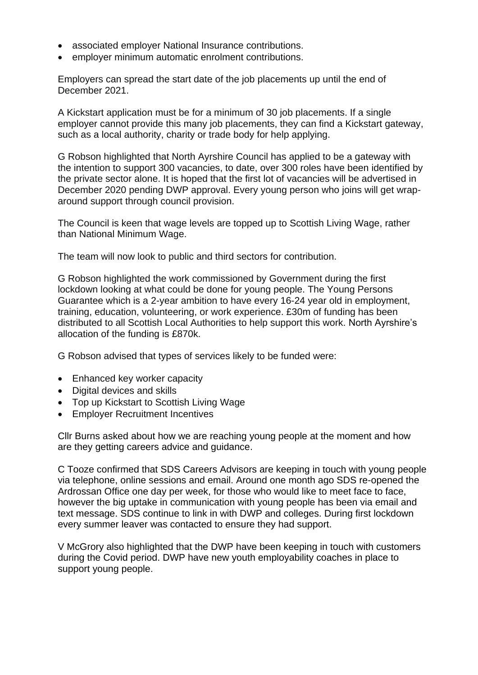- associated employer National Insurance contributions.
- employer minimum automatic enrolment contributions.

Employers can spread the start date of the job placements up until the end of December 2021.

A Kickstart application must be for a minimum of 30 job placements. If a single employer cannot provide this many job placements, they can find a Kickstart gateway, such as a local authority, charity or trade body for help applying.

G Robson highlighted that North Ayrshire Council has applied to be a gateway with the intention to support 300 vacancies, to date, over 300 roles have been identified by the private sector alone. It is hoped that the first lot of vacancies will be advertised in December 2020 pending DWP approval. Every young person who joins will get wraparound support through council provision.

The Council is keen that wage levels are topped up to Scottish Living Wage, rather than National Minimum Wage.

The team will now look to public and third sectors for contribution.

G Robson highlighted the work commissioned by Government during the first lockdown looking at what could be done for young people. The Young Persons Guarantee which is a 2-year ambition to have every 16-24 year old in employment, training, education, volunteering, or work experience. £30m of funding has been distributed to all Scottish Local Authorities to help support this work. North Ayrshire's allocation of the funding is £870k.

G Robson advised that types of services likely to be funded were:

- Enhanced key worker capacity
- Digital devices and skills
- Top up Kickstart to Scottish Living Wage
- Employer Recruitment Incentives

Cllr Burns asked about how we are reaching young people at the moment and how are they getting careers advice and guidance.

C Tooze confirmed that SDS Careers Advisors are keeping in touch with young people via telephone, online sessions and email. Around one month ago SDS re-opened the Ardrossan Office one day per week, for those who would like to meet face to face, however the big uptake in communication with young people has been via email and text message. SDS continue to link in with DWP and colleges. During first lockdown every summer leaver was contacted to ensure they had support.

V McGrory also highlighted that the DWP have been keeping in touch with customers during the Covid period. DWP have new youth employability coaches in place to support young people.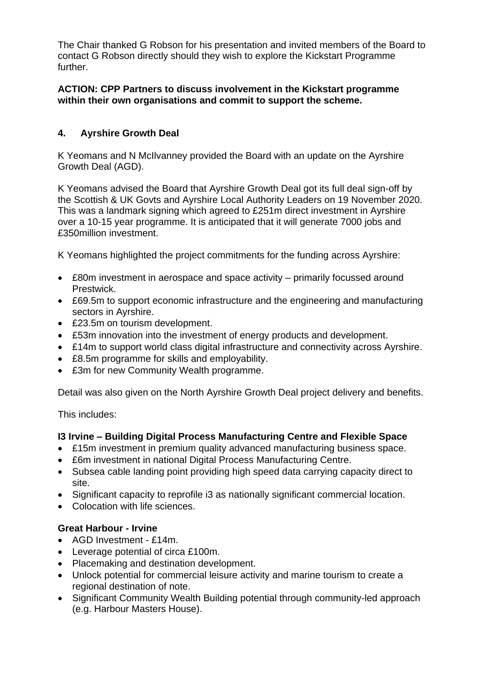The Chair thanked G Robson for his presentation and invited members of the Board to contact G Robson directly should they wish to explore the Kickstart Programme further.

### **ACTION: CPP Partners to discuss involvement in the Kickstart programme within their own organisations and commit to support the scheme.**

# **4. Ayrshire Growth Deal**

K Yeomans and N McIlvanney provided the Board with an update on the Ayrshire Growth Deal (AGD).

K Yeomans advised the Board that Ayrshire Growth Deal got its full deal sign-off by the Scottish & UK Govts and Ayrshire Local Authority Leaders on 19 November 2020. This was a landmark signing which agreed to £251m direct investment in Ayrshire over a 10-15 year programme. It is anticipated that it will generate 7000 jobs and £350million investment.

K Yeomans highlighted the project commitments for the funding across Ayrshire:

- £80m investment in aerospace and space activity primarily focussed around Prestwick.
- £69.5m to support economic infrastructure and the engineering and manufacturing sectors in Ayrshire.
- £23.5m on tourism development.
- £53m innovation into the investment of energy products and development.
- £14m to support world class digital infrastructure and connectivity across Ayrshire.
- £8.5m programme for skills and employability.
- £3m for new Community Wealth programme.

Detail was also given on the North Ayrshire Growth Deal project delivery and benefits.

This includes:

### **I3 Irvine – Building Digital Process Manufacturing Centre and Flexible Space**

- £15m investment in premium quality advanced manufacturing business space.
- £6m investment in national Digital Process Manufacturing Centre.
- Subsea cable landing point providing high speed data carrying capacity direct to site.
- Significant capacity to reprofile i3 as nationally significant commercial location.
- Colocation with life sciences.

# **Great Harbour - Irvine**

- AGD Investment £14m.
- Leverage potential of circa £100m.
- Placemaking and destination development.
- Unlock potential for commercial leisure activity and marine tourism to create a regional destination of note.
- Significant Community Wealth Building potential through community-led approach (e.g. Harbour Masters House).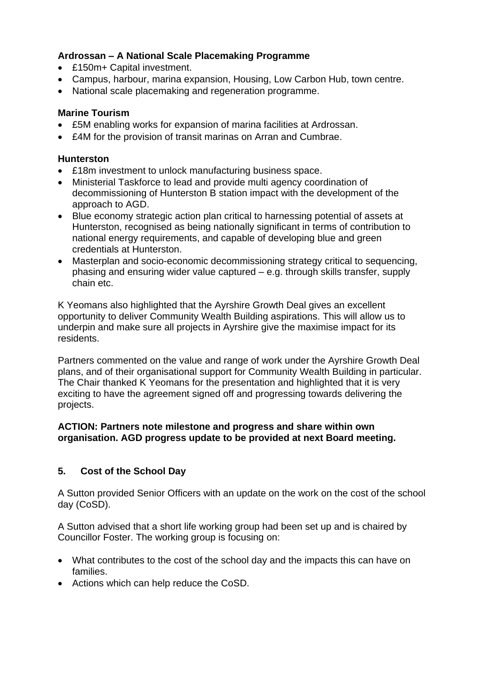# **Ardrossan – A National Scale Placemaking Programme**

- £150m+ Capital investment.
- Campus, harbour, marina expansion, Housing, Low Carbon Hub, town centre.
- National scale placemaking and regeneration programme.

### **Marine Tourism**

- £5M enabling works for expansion of marina facilities at Ardrossan.
- £4M for the provision of transit marinas on Arran and Cumbrae.

### **Hunterston**

- £18m investment to unlock manufacturing business space.
- Ministerial Taskforce to lead and provide multi agency coordination of decommissioning of Hunterston B station impact with the development of the approach to AGD.
- Blue economy strategic action plan critical to harnessing potential of assets at Hunterston, recognised as being nationally significant in terms of contribution to national energy requirements, and capable of developing blue and green credentials at Hunterston.
- Masterplan and socio-economic decommissioning strategy critical to sequencing, phasing and ensuring wider value captured – e.g. through skills transfer, supply chain etc.

K Yeomans also highlighted that the Ayrshire Growth Deal gives an excellent opportunity to deliver Community Wealth Building aspirations. This will allow us to underpin and make sure all projects in Ayrshire give the maximise impact for its residents.

Partners commented on the value and range of work under the Ayrshire Growth Deal plans, and of their organisational support for Community Wealth Building in particular. The Chair thanked K Yeomans for the presentation and highlighted that it is very exciting to have the agreement signed off and progressing towards delivering the projects.

### **ACTION: Partners note milestone and progress and share within own organisation. AGD progress update to be provided at next Board meeting.**

# **5. Cost of the School Day**

A Sutton provided Senior Officers with an update on the work on the cost of the school day (CoSD).

A Sutton advised that a short life working group had been set up and is chaired by Councillor Foster. The working group is focusing on:

- What contributes to the cost of the school day and the impacts this can have on families.
- Actions which can help reduce the CoSD.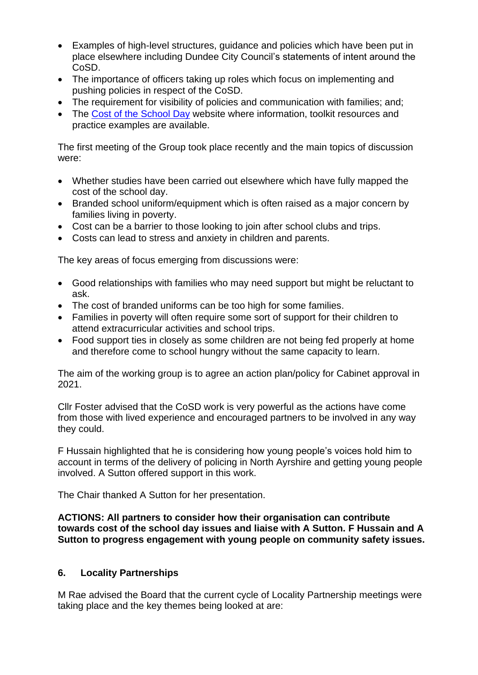- Examples of high-level structures, guidance and policies which have been put in place elsewhere including Dundee City Council's statements of intent around the CoSD.
- The importance of officers taking up roles which focus on implementing and pushing policies in respect of the CoSD.
- The requirement for visibility of policies and communication with families: and:
- The [Cost of the School Day](https://cpag.org.uk/cost-of-the-school-day) website where information, toolkit resources and practice examples are available.

The first meeting of the Group took place recently and the main topics of discussion were:

- Whether studies have been carried out elsewhere which have fully mapped the cost of the school day.
- Branded school uniform/equipment which is often raised as a major concern by families living in poverty.
- Cost can be a barrier to those looking to join after school clubs and trips.
- Costs can lead to stress and anxiety in children and parents.

The key areas of focus emerging from discussions were:

- Good relationships with families who may need support but might be reluctant to ask.
- The cost of branded uniforms can be too high for some families.
- Families in poverty will often require some sort of support for their children to attend extracurricular activities and school trips.
- Food support ties in closely as some children are not being fed properly at home and therefore come to school hungry without the same capacity to learn.

The aim of the working group is to agree an action plan/policy for Cabinet approval in 2021.

Cllr Foster advised that the CoSD work is very powerful as the actions have come from those with lived experience and encouraged partners to be involved in any way they could.

F Hussain highlighted that he is considering how young people's voices hold him to account in terms of the delivery of policing in North Ayrshire and getting young people involved. A Sutton offered support in this work.

The Chair thanked A Sutton for her presentation.

**ACTIONS: All partners to consider how their organisation can contribute towards cost of the school day issues and liaise with A Sutton. F Hussain and A Sutton to progress engagement with young people on community safety issues.** 

# **6. Locality Partnerships**

M Rae advised the Board that the current cycle of Locality Partnership meetings were taking place and the key themes being looked at are: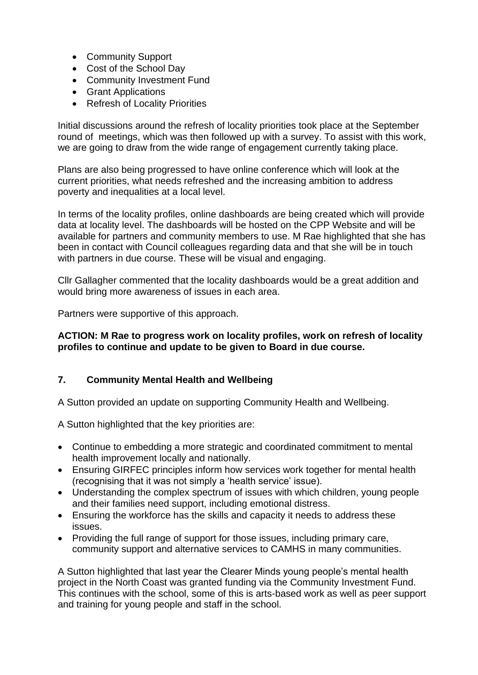- Community Support
- Cost of the School Day
- Community Investment Fund
- Grant Applications
- Refresh of Locality Priorities

Initial discussions around the refresh of locality priorities took place at the September round of meetings, which was then followed up with a survey. To assist with this work, we are going to draw from the wide range of engagement currently taking place.

Plans are also being progressed to have online conference which will look at the current priorities, what needs refreshed and the increasing ambition to address poverty and inequalities at a local level.

In terms of the locality profiles, online dashboards are being created which will provide data at locality level. The dashboards will be hosted on the CPP Website and will be available for partners and community members to use. M Rae highlighted that she has been in contact with Council colleagues regarding data and that she will be in touch with partners in due course. These will be visual and engaging.

Cllr Gallagher commented that the locality dashboards would be a great addition and would bring more awareness of issues in each area.

Partners were supportive of this approach.

### **ACTION: M Rae to progress work on locality profiles, work on refresh of locality profiles to continue and update to be given to Board in due course.**

# **7. Community Mental Health and Wellbeing**

A Sutton provided an update on supporting Community Health and Wellbeing.

A Sutton highlighted that the key priorities are:

- Continue to embedding a more strategic and coordinated commitment to mental health improvement locally and nationally.
- Ensuring GIRFEC principles inform how services work together for mental health (recognising that it was not simply a 'health service' issue).
- Understanding the complex spectrum of issues with which children, young people and their families need support, including emotional distress.
- Ensuring the workforce has the skills and capacity it needs to address these issues.
- Providing the full range of support for those issues, including primary care, community support and alternative services to CAMHS in many communities.

A Sutton highlighted that last year the Clearer Minds young people's mental health project in the North Coast was granted funding via the Community Investment Fund. This continues with the school, some of this is arts-based work as well as peer support and training for young people and staff in the school.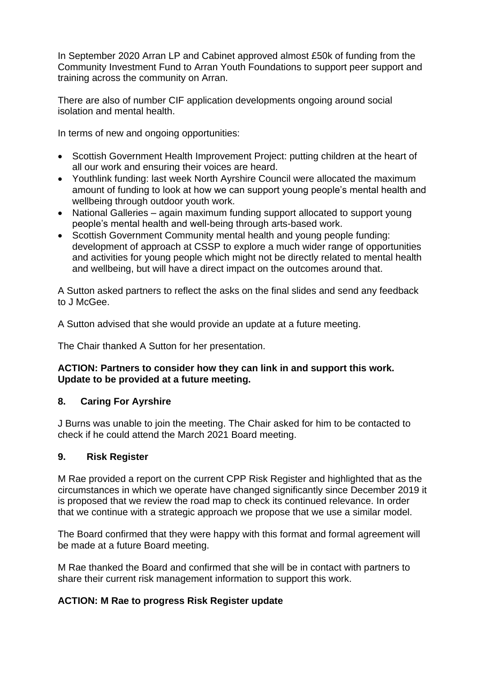In September 2020 Arran LP and Cabinet approved almost £50k of funding from the Community Investment Fund to Arran Youth Foundations to support peer support and training across the community on Arran.

There are also of number CIF application developments ongoing around social isolation and mental health.

In terms of new and ongoing opportunities:

- Scottish Government Health Improvement Project: putting children at the heart of all our work and ensuring their voices are heard.
- Youthlink funding: last week North Ayrshire Council were allocated the maximum amount of funding to look at how we can support young people's mental health and wellbeing through outdoor youth work.
- National Galleries again maximum funding support allocated to support young people's mental health and well-being through arts-based work.
- Scottish Government Community mental health and young people funding: development of approach at CSSP to explore a much wider range of opportunities and activities for young people which might not be directly related to mental health and wellbeing, but will have a direct impact on the outcomes around that.

A Sutton asked partners to reflect the asks on the final slides and send any feedback to J McGee.

A Sutton advised that she would provide an update at a future meeting.

The Chair thanked A Sutton for her presentation.

# **ACTION: Partners to consider how they can link in and support this work. Update to be provided at a future meeting.**

# **8. Caring For Ayrshire**

J Burns was unable to join the meeting. The Chair asked for him to be contacted to check if he could attend the March 2021 Board meeting.

### **9. Risk Register**

M Rae provided a report on the current CPP Risk Register and highlighted that as the circumstances in which we operate have changed significantly since December 2019 it is proposed that we review the road map to check its continued relevance. In order that we continue with a strategic approach we propose that we use a similar model.

The Board confirmed that they were happy with this format and formal agreement will be made at a future Board meeting.

M Rae thanked the Board and confirmed that she will be in contact with partners to share their current risk management information to support this work.

# **ACTION: M Rae to progress Risk Register update**